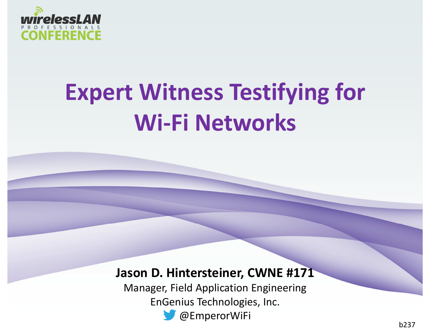

# **Expert Witness Testifying for Wi-Fi Networks**

#### **Jason D. Hintersteiner, CWNE #171**

 Manager, Field Application EngineeringEnGenius Technologies, Inc.**W** @EmperorWiFi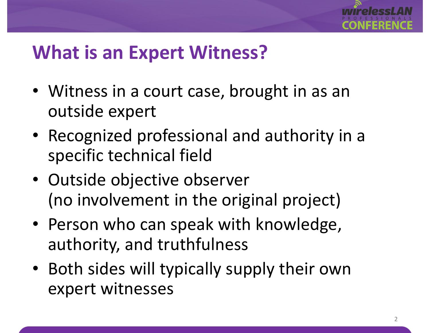

#### **What is an Expert Witness?**

- Witness in a court case, brought in as an outside expert
- Recognized professional and authority in a specific technical field
- Outside objective observer (no involvement in the original project)
- Person who can speak with knowledge, authority, and truthfulness
- Both sides will typically supply their own expert witnesses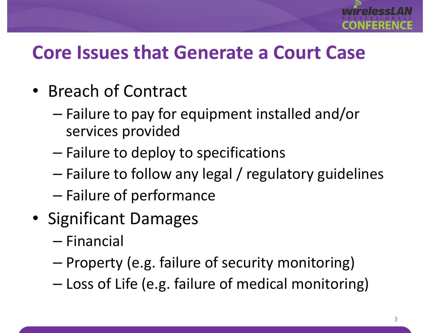

### **Core Issues that Generate a Court Case**

- Breach of Contract
	- – Failure to pay for equipment installed and/or services provided
	- – $-$  Failure to deploy to specifications
	- –Failure to follow any legal / regulatory guidelines
	- – $-$  Failure of performance
- Significant Damages
	- –— Financial
	- –— Property (e.g. failure of security monitoring)
	- –Loss of Life (e.g. failure of medical monitoring)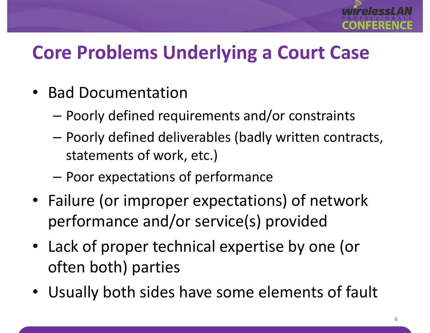

## **Core Problems Underlying a Court Case**

- Bad Documentation
	- Poorly defined requirements and/or constraints
	- Poorly defined deliverables (badly written contracts, statements of work, etc.)
	- – $-$  Poor expectations of performance
- Failure (or improper expectations) of network performance and/or service(s) provided
- Lack of proper technical expertise by one (or often both) parties
- $\bullet$ Usually both sides have some elements of fault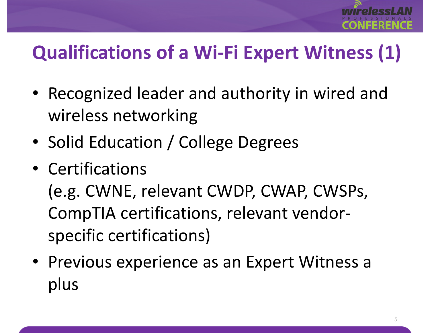

## **Qualifications of a Wi-Fi Expert Witness (1)**

- Recognized leader and authority in wired and wireless networking
- •• Solid Education / College Degrees
- Certifications

(e.g. CWNE, relevant CWDP, CWAP, CWSPs, CompTIA certifications, relevant vendorspecific certifications)

• Previous experience as an Expert Witness a plus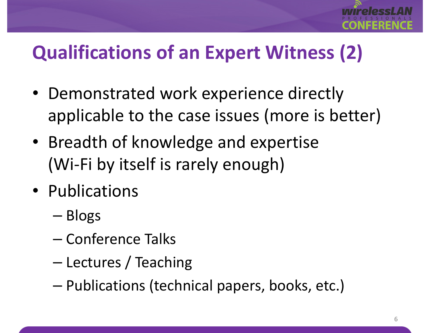

## **Qualifications of an Expert Witness (2)**

- Demonstrated work experience directly applicable to the case issues (more is better)
- Breadth of knowledge and expertise(Wi-Fi by itself is rarely enough)
- Publications
	- –— Blogs
	- –— Conference Talks
	- –– Lectures / Teaching
	- – $-$  Publications (technical papers, books, etc.)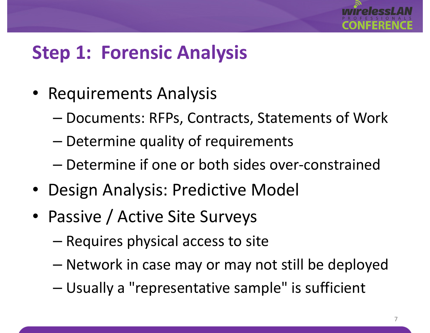

### **Step 1: Forensic Analysis**

- Requirements Analysis
	- –Documents: RFPs, Contracts, Statements of Work
	- – $-$  Determine quality of requirements
	- – $-$  Determine if one or both sides over-constrained
- Design Analysis: Predictive Model
- • Passive / Active Site Surveys
	- –– Requires physical access to site
	- –Network in case may or may not still be deployed
	- –Usually a "representative sample" is sufficient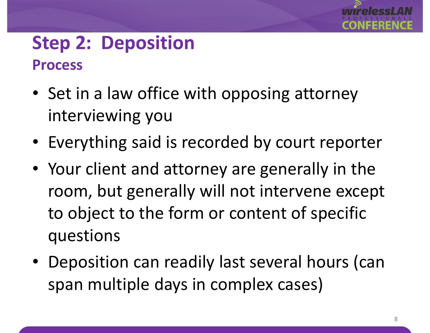

#### **Step 2: DepositionProcess**

- Set in a law office with opposing attorney interviewing you
- Everything said is recorded by court reporter
- Your client and attorney are generally in the room, but generally will not intervene except to object to the form or content of specific questions
- Deposition can readily last several hours (can span multiple days in complex cases)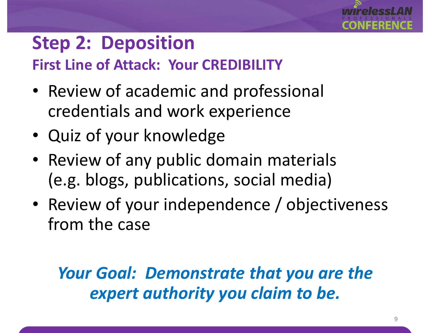

## **Step 2: Deposition**

**First Line of Attack: Your CREDIBILITY**

- Review of academic and professional credentials and work experience
- Quiz of your knowledge
- Review of any public domain materials(e.g. blogs, publications, social media)
- • Review of your independence / objectiveness from the case

#### *Your Goal: Demonstrate that you are the expert authority you claim to be.*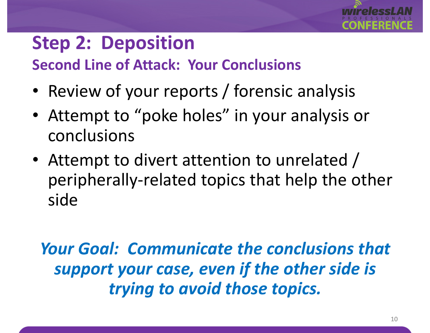## **Step 2: Deposition**

**Second Line of Attack: Your Conclusions**

- •• Review of your reports / forensic analysis
- Attempt to "poke holes" in your analysis or conclusions
- • Attempt to divert attention to unrelated / peripherally-related topics that help the other side

*Your Goal: Communicate the conclusions that support your case, even if the other side is trying to avoid those topics.*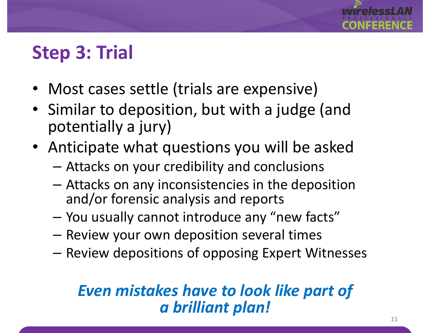## **Step 3: Trial**

- Most cases settle (trials are expensive)
- Similar to deposition, but with a judge (and potentially a jury)
- Anticipate what questions you will be asked
	- –Attacks on your credibility and conclusions
	- Attacks on any inconsistencies in the deposition and/or forensic analysis and reports
	- –You usually cannot introduce any "new facts"
	- –Review your own deposition several times
	- Review depositions of opposing Expert Witnesses

#### *Even mistakes have to look like part of a brilliant plan!*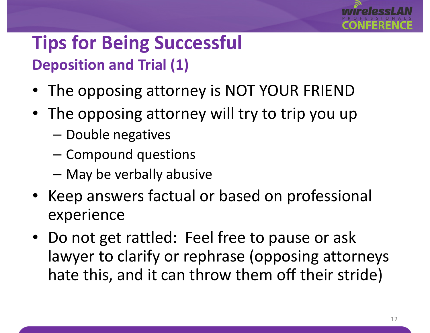

### **Tips for Being SuccessfulDeposition and Trial (1)**

- •The opposing attorney is NOT YOUR FRIEND
- The opposing attorney will try to trip you up
	- –— Double negatives
	- Compound questions
	- $-$  May be verbally abusive
- • Keep answers factual or based on professional experience
- Do not get rattled: Feel free to pause or ask lawyer to clarify or rephrase (opposing attorneys hate this, and it can throw them off their stride)